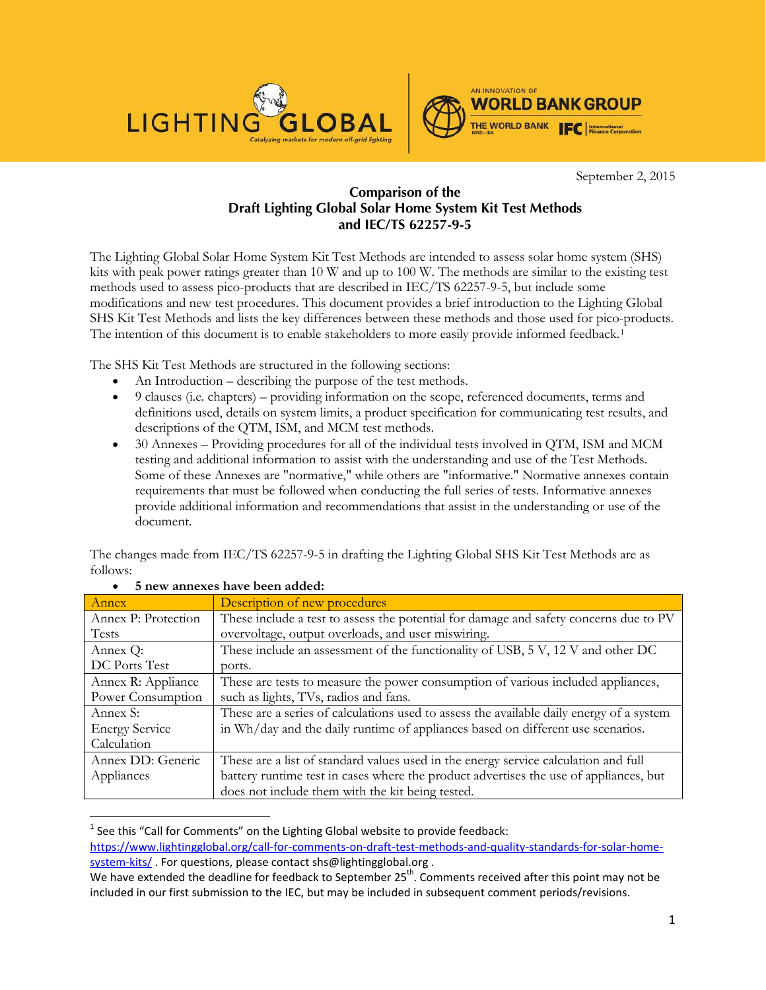



September 2, 2015

## **Comparison of the Draft Lighting Global Solar Home System Kit Test Methods and IEC/TS 62257-9-5**

The Lighting Global Solar Home System Kit Test Methods are intended to assess solar home system (SHS) kits with peak power ratings greater than 10 W and up to 100 W. The methods are similar to the existing test methods used to assess pico-products that are described in IEC/TS 62257-9-5, but include some modifications and new test procedures. This document provides a brief introduction to the Lighting Global SHS Kit Test Methods and lists the key differences between these methods and those used for pico-products. The intention of this document is to enable stakeholders to more easily provide informed feedback.<sup>[1](#page-0-0)</sup>

The SHS Kit Test Methods are structured in the following sections:

- An Introduction describing the purpose of the test methods.
- 9 clauses (i.e. chapters) providing information on the scope, referenced documents, terms and definitions used, details on system limits, a product specification for communicating test results, and descriptions of the QTM, ISM, and MCM test methods.
- 30 Annexes Providing procedures for all of the individual tests involved in QTM, ISM and MCM testing and additional information to assist with the understanding and use of the Test Methods. Some of these Annexes are "normative," while others are "informative." Normative annexes contain requirements that must be followed when conducting the full series of tests. Informative annexes provide additional information and recommendations that assist in the understanding or use of the document.

The changes made from IEC/TS 62257-9-5 in drafting the Lighting Global SHS Kit Test Methods are as follows:

| Annex                 | Description of new procedures                                                            |  |  |
|-----------------------|------------------------------------------------------------------------------------------|--|--|
| Annex P: Protection   | These include a test to assess the potential for damage and safety concerns due to PV    |  |  |
| <b>Tests</b>          | overvoltage, output overloads, and user miswiring.                                       |  |  |
| Annex Q:              | These include an assessment of the functionality of USB, 5 V, 12 V and other DC          |  |  |
| DC Ports Test         | ports.                                                                                   |  |  |
| Annex R: Appliance    | These are tests to measure the power consumption of various included appliances,         |  |  |
| Power Consumption     | such as lights, TVs, radios and fans.                                                    |  |  |
| Annex S:              | These are a series of calculations used to assess the available daily energy of a system |  |  |
| <b>Energy Service</b> | in Wh/day and the daily runtime of appliances based on different use scenarios.          |  |  |
| Calculation           |                                                                                          |  |  |
| Annex DD: Generic     | These are a list of standard values used in the energy service calculation and full      |  |  |
| Appliances            | battery runtime test in cases where the product advertises the use of appliances, but    |  |  |
|                       | does not include them with the kit being tested.                                         |  |  |

## • **5 new annexes have been added:**

<span id="page-0-0"></span> $1$  See this "Call for Comments" on the Lighting Global website to provide feedback: [https://www.lightingglobal.org/call-for-comments-on-draft-test-methods-and-quality-standards-for-solar-home-](https://www.lightingglobal.org/call-for-comments-on-draft-test-methods-and-quality-standards-for-solar-home-system-kits/)

[system-kits/](https://www.lightingglobal.org/call-for-comments-on-draft-test-methods-and-quality-standards-for-solar-home-system-kits/). For questions, please contact shs@lightingglobal.org.

We have extended the deadline for feedback to September 25<sup>th</sup>. Comments received after this point may not be included in our first submission to the IEC, but may be included in subsequent comment periods/revisions.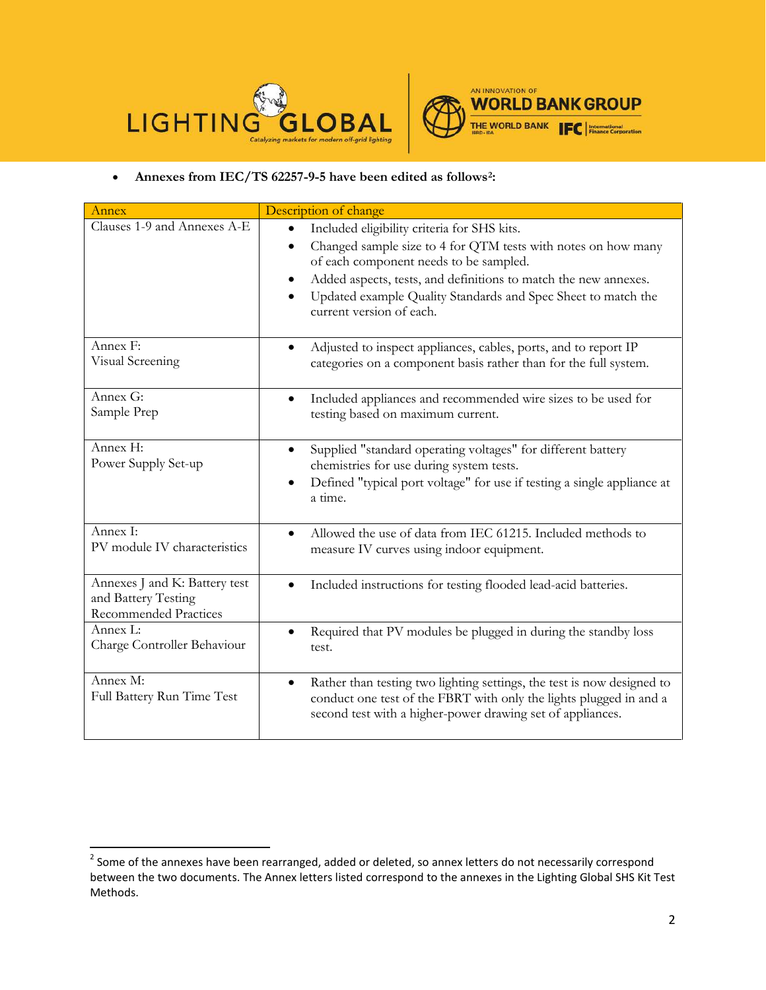



## • **Annexes from IEC/TS 62257-9-5 have been edited as follows[2:](#page-1-0)**

| Annex                                                                                                                                                                                                                                  | Description of change                                                                                                                                                                                      |  |
|----------------------------------------------------------------------------------------------------------------------------------------------------------------------------------------------------------------------------------------|------------------------------------------------------------------------------------------------------------------------------------------------------------------------------------------------------------|--|
| Clauses 1-9 and Annexes A-E                                                                                                                                                                                                            | Included eligibility criteria for SHS kits.<br>Changed sample size to 4 for QTM tests with notes on how many<br>of each component needs to be sampled.                                                     |  |
|                                                                                                                                                                                                                                        | Added aspects, tests, and definitions to match the new annexes.<br>Updated example Quality Standards and Spec Sheet to match the<br>current version of each.                                               |  |
| Annex F:<br>Visual Screening                                                                                                                                                                                                           | Adjusted to inspect appliances, cables, ports, and to report IP<br>categories on a component basis rather than for the full system.                                                                        |  |
| Annex G:<br>Sample Prep                                                                                                                                                                                                                | Included appliances and recommended wire sizes to be used for<br>$\bullet$<br>testing based on maximum current.                                                                                            |  |
| Annex H:<br>Supplied "standard operating voltages" for different battery<br>٠<br>Power Supply Set-up<br>chemistries for use during system tests.<br>Defined "typical port voltage" for use if testing a single appliance at<br>a time. |                                                                                                                                                                                                            |  |
| Annex I:<br>PV module IV characteristics                                                                                                                                                                                               | Allowed the use of data from IEC 61215. Included methods to<br>measure IV curves using indoor equipment.                                                                                                   |  |
| Annexes J and K: Battery test<br>and Battery Testing<br><b>Recommended Practices</b>                                                                                                                                                   | Included instructions for testing flooded lead-acid batteries.<br>$\bullet$                                                                                                                                |  |
| Annex L:<br>Charge Controller Behaviour                                                                                                                                                                                                | Required that PV modules be plugged in during the standby loss<br>test.                                                                                                                                    |  |
| Annex M:<br>Full Battery Run Time Test                                                                                                                                                                                                 | Rather than testing two lighting settings, the test is now designed to<br>conduct one test of the FBRT with only the lights plugged in and a<br>second test with a higher-power drawing set of appliances. |  |

<span id="page-1-0"></span> $2$  Some of the annexes have been rearranged, added or deleted, so annex letters do not necessarily correspond between the two documents. The Annex letters listed correspond to the annexes in the Lighting Global SHS Kit Test Methods.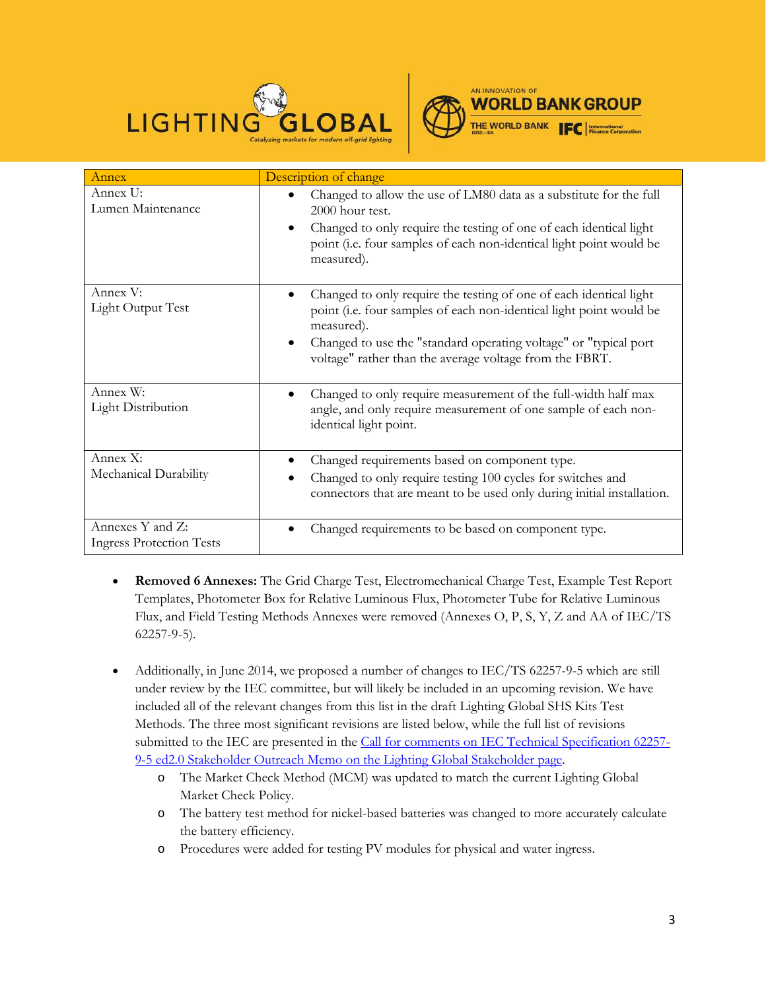



| Annex                                               | Description of change                                                                                                                                                                                                                                                                  |
|-----------------------------------------------------|----------------------------------------------------------------------------------------------------------------------------------------------------------------------------------------------------------------------------------------------------------------------------------------|
| Annex U:<br>Lumen Maintenance                       | Changed to allow the use of LM80 data as a substitute for the full<br>$2000$ hour test.<br>Changed to only require the testing of one of each identical light<br>$\bullet$<br>point (i.e. four samples of each non-identical light point would be<br>measured).                        |
| Annex V:<br>Light Output Test                       | Changed to only require the testing of one of each identical light<br>point (i.e. four samples of each non-identical light point would be<br>measured).<br>Changed to use the "standard operating voltage" or "typical port<br>voltage" rather than the average voltage from the FBRT. |
| Annex W:<br>Light Distribution                      | Changed to only require measurement of the full-width half max<br>angle, and only require measurement of one sample of each non-<br>identical light point.                                                                                                                             |
| Annex X:<br>Mechanical Durability                   | Changed requirements based on component type.<br>Changed to only require testing 100 cycles for switches and<br>connectors that are meant to be used only during initial installation.                                                                                                 |
| Annexes Y and Z:<br><b>Ingress Protection Tests</b> | Changed requirements to be based on component type.                                                                                                                                                                                                                                    |

- **Removed 6 Annexes:** The Grid Charge Test, Electromechanical Charge Test, Example Test Report Templates, Photometer Box for Relative Luminous Flux, Photometer Tube for Relative Luminous Flux, and Field Testing Methods Annexes were removed (Annexes O, P, S, Y, Z and AA of IEC/TS 62257-9-5).
- Additionally, in June 2014, we proposed a number of changes to IEC/TS 62257-9-5 which are still under review by the IEC committee, but will likely be included in an upcoming revision. We have included all of the relevant changes from this list in the draft Lighting Global SHS Kits Test Methods. The three most significant revisions are listed below, while the full list of revisions submitted to the IEC are presented in the [Call for comments on IEC Technical Specification 62257-](https://www.lightingglobal.org/wp-content/uploads/2013/12/LG_IEC62257-9-5_UpdateMemo_finalv2.pdf) 9-5 ed2.0 Stakeholder Outreach Memo on the Lighting Global Stakeholder page.
	- o The Market Check Method (MCM) was updated to match the current Lighting Global Market Check Policy.
	- o The battery test method for nickel-based batteries was changed to more accurately calculate the battery efficiency.
	- o Procedures were added for testing PV modules for physical and water ingress.